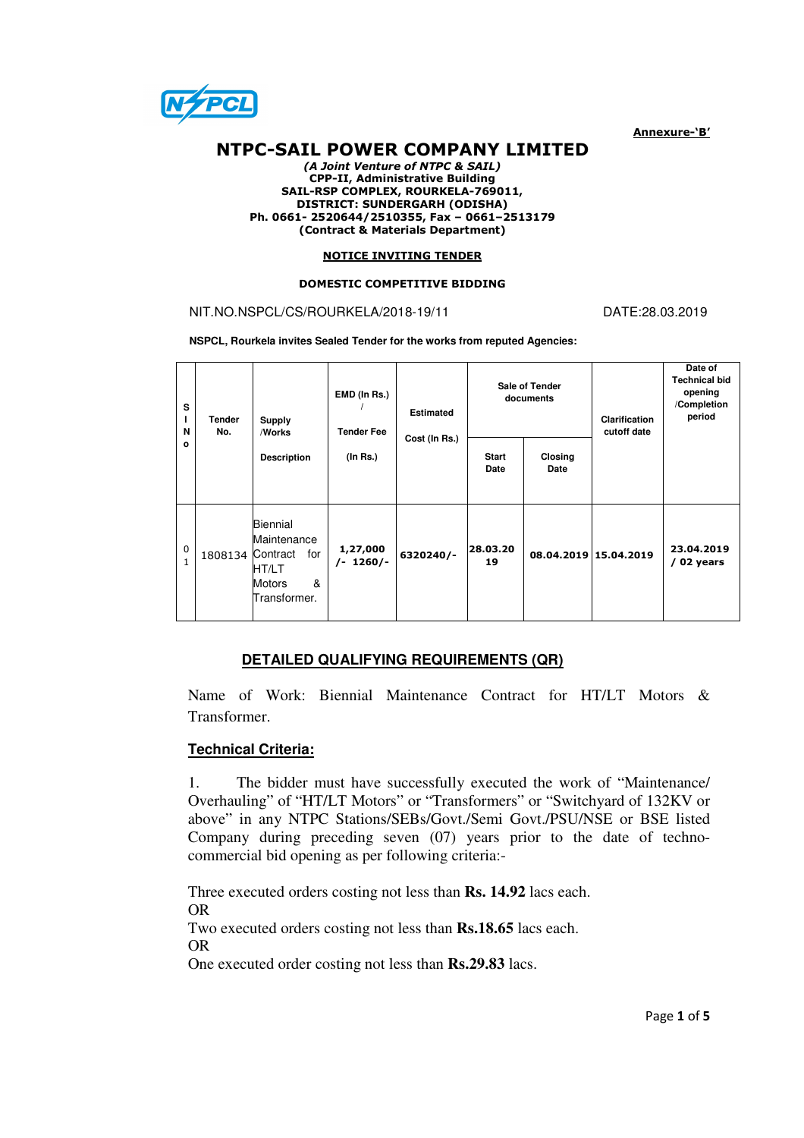

Annexure-'B'

# NTPC-SAIL POWER COMPANY LIMITED

(A Joint Venture of NTPC & SAIL) CPP-II, Administrative Building SAIL-RSP COMPLEX, ROURKELA-769011, DISTRICT: SUNDERGARH (ODISHA) Ph. 0661- 2520644/2510355, Fax – 0661–2513179 (Contract & Materials Department)

#### NOTICE INVITING TENDER

#### DOMESTIC COMPETITIVE BIDDING

## NIT.NO.NSPCL/CS/ROURKELA/2018-19/11 DATE:28.03.2019

**NSPCL, Rourkela invites Sealed Tender for the works from reputed Agencies:** 

| s<br>L<br>N<br>$\circ$ | <b>Tender</b><br>No. | Supply<br>/Works                                                       | EMD (In Rs.)<br><b>Tender Fee</b> | <b>Estimated</b><br>Cost (In Rs.) | Sale of Tender<br>documents |                 | Clarification<br>cutoff date | Date of<br><b>Technical bid</b><br>opening<br>/Completion<br>period |
|------------------------|----------------------|------------------------------------------------------------------------|-----------------------------------|-----------------------------------|-----------------------------|-----------------|------------------------------|---------------------------------------------------------------------|
|                        |                      | <b>Description</b>                                                     | (In Rs.)                          |                                   | <b>Start</b><br>Date        | Closing<br>Date |                              |                                                                     |
| 0<br>$\mathbf{1}$      | 1808134 Contract     | Biennial<br>Maintenance<br>for<br>HT/LT<br>&<br>Motors<br>Transformer. | 1,27,000<br>$/- 1260/-$           | 6320240/-                         | 28.03.20<br>19              |                 | 08.04.2019 15.04.2019        | 23.04.2019<br>/ 02 years                                            |

### **DETAILED QUALIFYING REQUIREMENTS (QR)**

Name of Work: Biennial Maintenance Contract for HT/LT Motors & Transformer.

#### **Technical Criteria:**

1. The bidder must have successfully executed the work of "Maintenance/ Overhauling" of "HT/LT Motors" or "Transformers" or "Switchyard of 132KV or above" in any NTPC Stations/SEBs/Govt./Semi Govt./PSU/NSE or BSE listed Company during preceding seven (07) years prior to the date of technocommercial bid opening as per following criteria:-

Three executed orders costing not less than **Rs. 14.92** lacs each. OR Two executed orders costing not less than **Rs.18.65** lacs each. OR

One executed order costing not less than **Rs.29.83** lacs.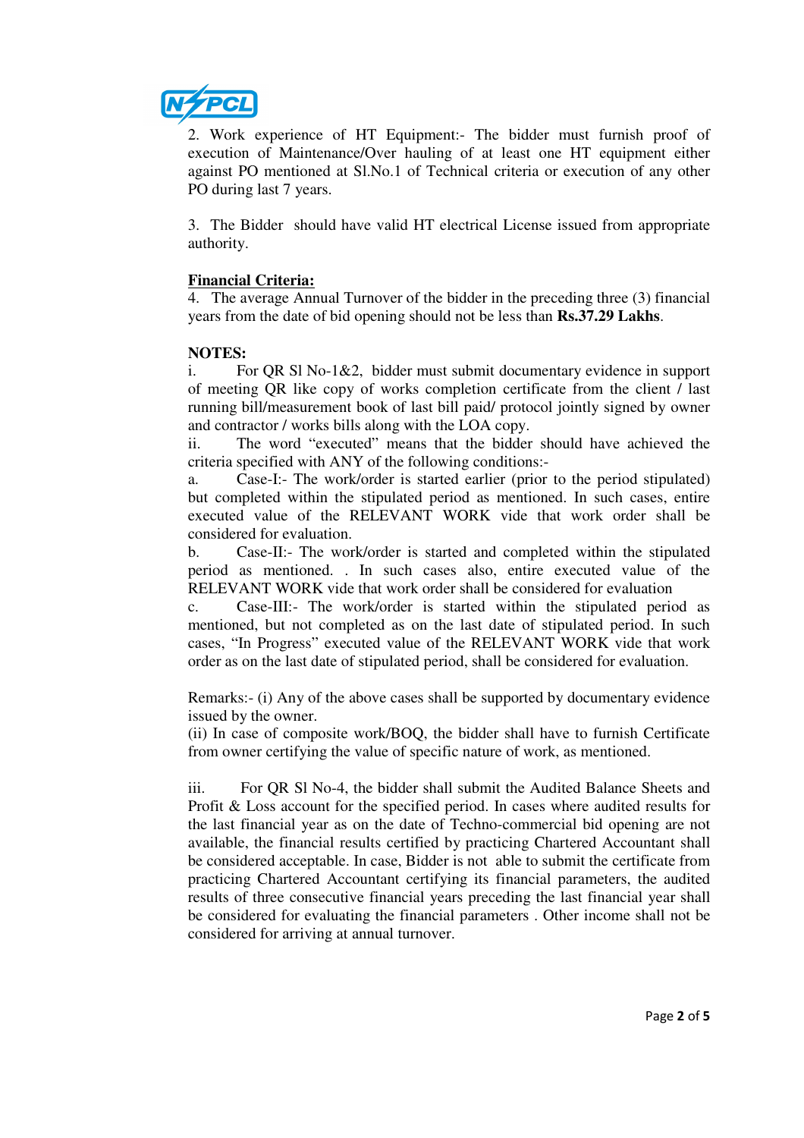

2. Work experience of HT Equipment:- The bidder must furnish proof of execution of Maintenance/Over hauling of at least one HT equipment either against PO mentioned at Sl.No.1 of Technical criteria or execution of any other PO during last 7 years.

3. The Bidder should have valid HT electrical License issued from appropriate authority.

# **Financial Criteria:**

4. The average Annual Turnover of the bidder in the preceding three (3) financial years from the date of bid opening should not be less than **Rs.37.29 Lakhs**.

## **NOTES:**

i. For QR Sl No-1&2, bidder must submit documentary evidence in support of meeting QR like copy of works completion certificate from the client / last running bill/measurement book of last bill paid/ protocol jointly signed by owner and contractor / works bills along with the LOA copy.

ii. The word "executed" means that the bidder should have achieved the criteria specified with ANY of the following conditions:-

a. Case-I:- The work/order is started earlier (prior to the period stipulated) but completed within the stipulated period as mentioned. In such cases, entire executed value of the RELEVANT WORK vide that work order shall be considered for evaluation.

b. Case-II:- The work/order is started and completed within the stipulated period as mentioned. . In such cases also, entire executed value of the RELEVANT WORK vide that work order shall be considered for evaluation

c. Case-III:- The work/order is started within the stipulated period as mentioned, but not completed as on the last date of stipulated period. In such cases, "In Progress" executed value of the RELEVANT WORK vide that work order as on the last date of stipulated period, shall be considered for evaluation.

Remarks:- (i) Any of the above cases shall be supported by documentary evidence issued by the owner.

(ii) In case of composite work/BOQ, the bidder shall have to furnish Certificate from owner certifying the value of specific nature of work, as mentioned.

iii. For QR Sl No-4, the bidder shall submit the Audited Balance Sheets and Profit & Loss account for the specified period. In cases where audited results for the last financial year as on the date of Techno-commercial bid opening are not available, the financial results certified by practicing Chartered Accountant shall be considered acceptable. In case, Bidder is not able to submit the certificate from practicing Chartered Accountant certifying its financial parameters, the audited results of three consecutive financial years preceding the last financial year shall be considered for evaluating the financial parameters . Other income shall not be considered for arriving at annual turnover.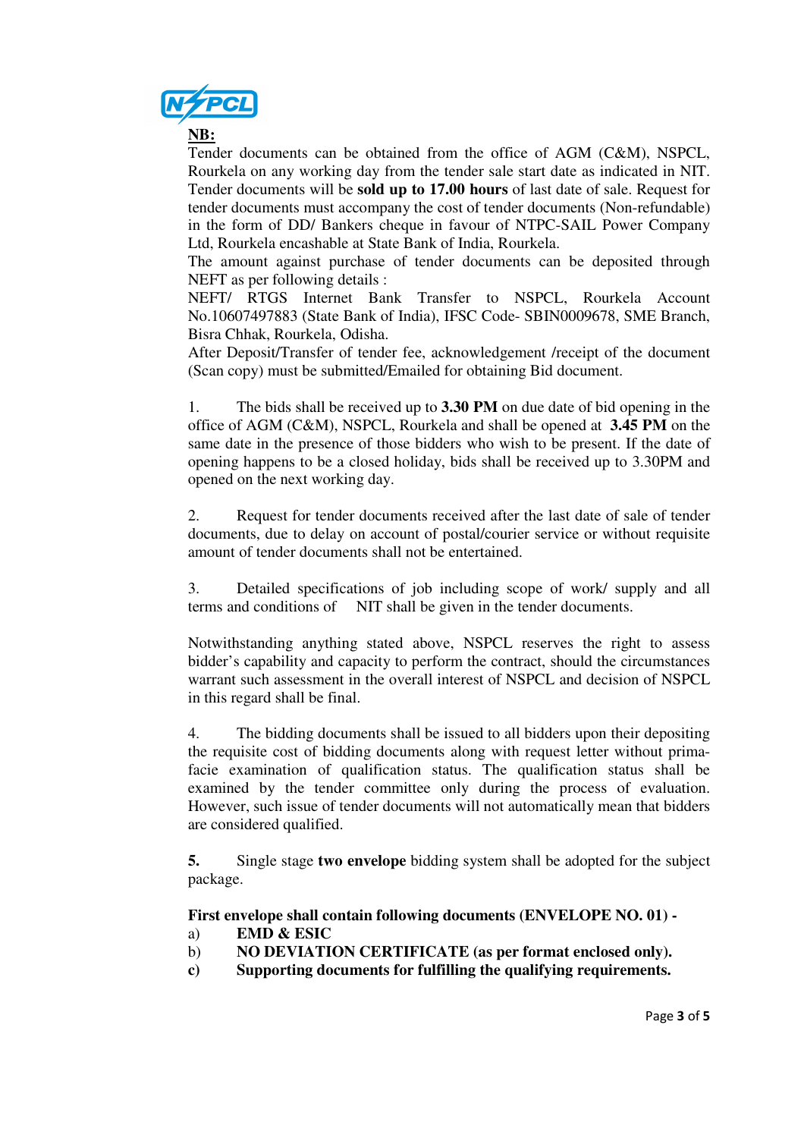

**NB:**

Tender documents can be obtained from the office of AGM (C&M), NSPCL, Rourkela on any working day from the tender sale start date as indicated in NIT. Tender documents will be **sold up to 17.00 hours** of last date of sale. Request for tender documents must accompany the cost of tender documents (Non-refundable) in the form of DD/ Bankers cheque in favour of NTPC-SAIL Power Company Ltd, Rourkela encashable at State Bank of India, Rourkela.

The amount against purchase of tender documents can be deposited through NEFT as per following details :

NEFT/ RTGS Internet Bank Transfer to NSPCL, Rourkela Account No.10607497883 (State Bank of India), IFSC Code- SBIN0009678, SME Branch, Bisra Chhak, Rourkela, Odisha.

After Deposit/Transfer of tender fee, acknowledgement /receipt of the document (Scan copy) must be submitted/Emailed for obtaining Bid document.

1. The bids shall be received up to **3.30 PM** on due date of bid opening in the office of AGM (C&M), NSPCL, Rourkela and shall be opened at **3.45 PM** on the same date in the presence of those bidders who wish to be present. If the date of opening happens to be a closed holiday, bids shall be received up to 3.30PM and opened on the next working day.

2. Request for tender documents received after the last date of sale of tender documents, due to delay on account of postal/courier service or without requisite amount of tender documents shall not be entertained.

3. Detailed specifications of job including scope of work/ supply and all terms and conditions of NIT shall be given in the tender documents.

Notwithstanding anything stated above, NSPCL reserves the right to assess bidder's capability and capacity to perform the contract, should the circumstances warrant such assessment in the overall interest of NSPCL and decision of NSPCL in this regard shall be final.

4. The bidding documents shall be issued to all bidders upon their depositing the requisite cost of bidding documents along with request letter without primafacie examination of qualification status. The qualification status shall be examined by the tender committee only during the process of evaluation. However, such issue of tender documents will not automatically mean that bidders are considered qualified.

**5.** Single stage **two envelope** bidding system shall be adopted for the subject package.

**First envelope shall contain following documents (ENVELOPE NO. 01) -** 

- a) **EMD & ESIC**
- b) **NO DEVIATION CERTIFICATE (as per format enclosed only).**
- **c) Supporting documents for fulfilling the qualifying requirements.**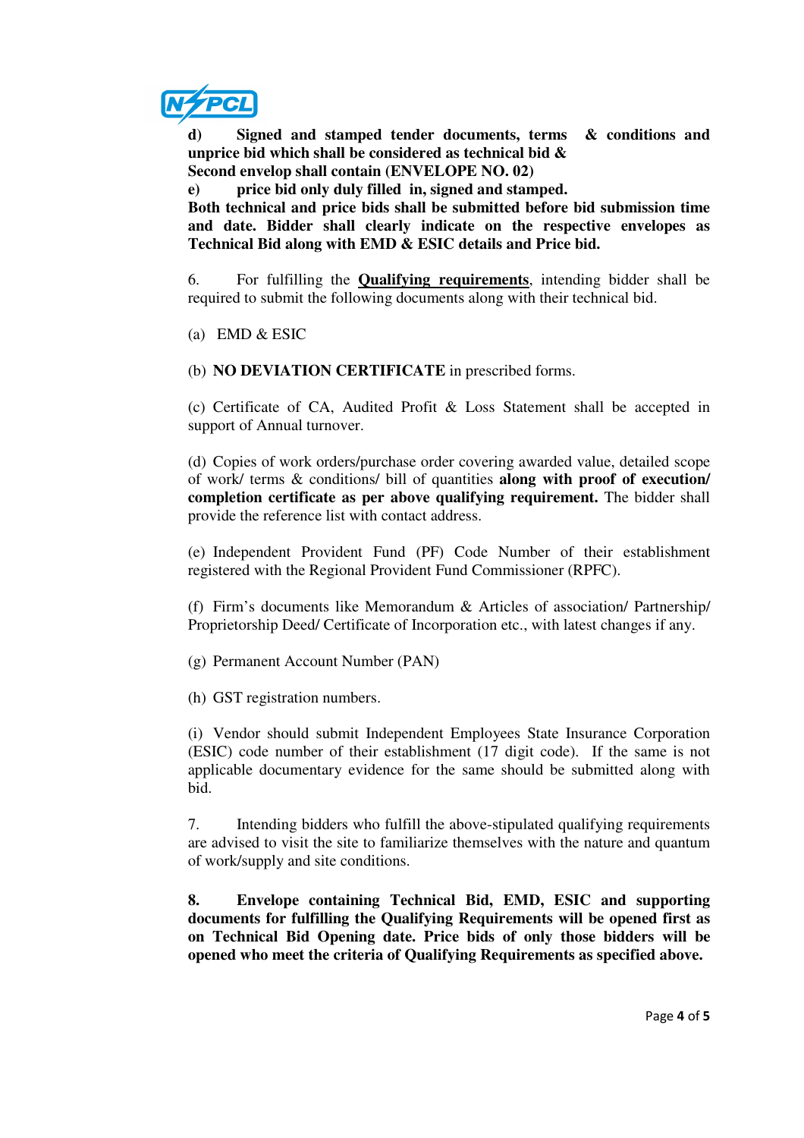

**d) Signed and stamped tender documents, terms & conditions and unprice bid which shall be considered as technical bid & Second envelop shall contain (ENVELOPE NO. 02)** 

**e) price bid only duly filled in, signed and stamped.** 

**Both technical and price bids shall be submitted before bid submission time and date. Bidder shall clearly indicate on the respective envelopes as Technical Bid along with EMD & ESIC details and Price bid.** 

6. For fulfilling the **Qualifying requirements**, intending bidder shall be required to submit the following documents along with their technical bid.

(a) EMD & ESIC

(b) **NO DEVIATION CERTIFICATE** in prescribed forms.

(c) Certificate of CA, Audited Profit & Loss Statement shall be accepted in support of Annual turnover.

(d) Copies of work orders/purchase order covering awarded value, detailed scope of work/ terms & conditions/ bill of quantities **along with proof of execution/ completion certificate as per above qualifying requirement.** The bidder shall provide the reference list with contact address.

(e) Independent Provident Fund (PF) Code Number of their establishment registered with the Regional Provident Fund Commissioner (RPFC).

(f) Firm's documents like Memorandum  $\&$  Articles of association/ Partnership/ Proprietorship Deed/ Certificate of Incorporation etc., with latest changes if any.

(g) Permanent Account Number (PAN)

(h) GST registration numbers.

(i) Vendor should submit Independent Employees State Insurance Corporation (ESIC) code number of their establishment (17 digit code). If the same is not applicable documentary evidence for the same should be submitted along with bid.

7. Intending bidders who fulfill the above-stipulated qualifying requirements are advised to visit the site to familiarize themselves with the nature and quantum of work/supply and site conditions.

**8. Envelope containing Technical Bid, EMD, ESIC and supporting documents for fulfilling the Qualifying Requirements will be opened first as on Technical Bid Opening date. Price bids of only those bidders will be opened who meet the criteria of Qualifying Requirements as specified above.**